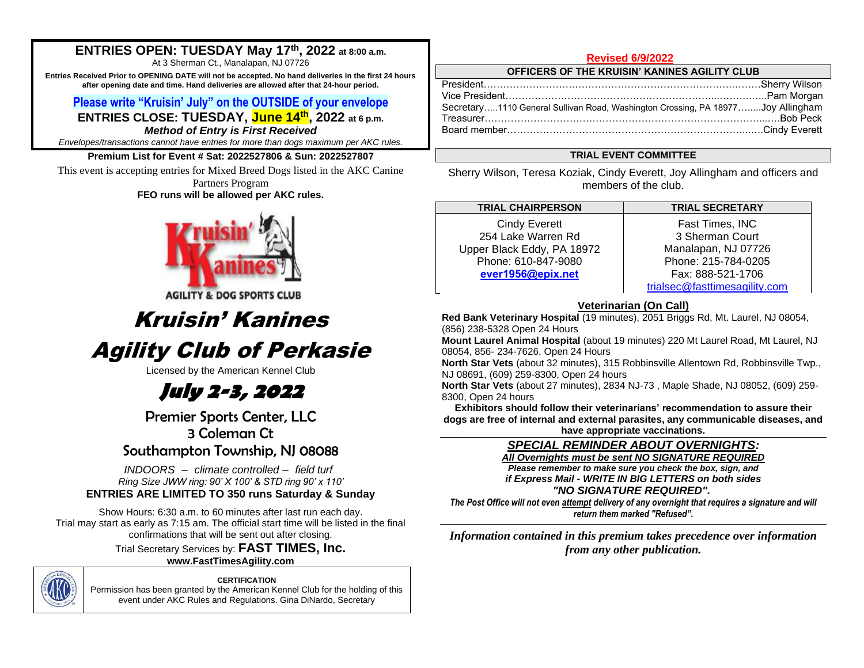## **ENTRIES OPEN: TUESDAY May 17th, 2022 at 8:00 a.m.**

At 3 Sherman Ct., Manalapan, NJ 07726

**Entries Received Prior to OPENING DATE will not be accepted. No hand deliveries in the first 24 hours after opening date and time. Hand deliveries are allowed after that 24-hour period.**

## **Please write "Kruisin' July" on the OUTSIDE of your envelope**

**ENTRIES CLOSE: TUESDAY, June 14th , 2022 at 6 p.m.** *Method of Entry is First Received*

*Envelopes/transactions cannot have entries for more than dogs maximum per AKC rules.* 

## **Premium List for Event # Sat: 2022527806 & Sun: 2022527807**

This event is accepting entries for Mixed Breed Dogs listed in the AKC Canine Partners Program **FEO runs will be allowed per AKC rules.** 



**AGILITY & DOG SPORTS CLUB** 

# Kruisin' Kanines

# Agility Club of Perkasie

Licensed by the American Kennel Club

# **July 2-3, 2022**

Premier Sports Center, LLC 3 Coleman Ct Southampton Township, NJ 08088

*INDOORS – climate controlled – field turf Ring Size JWW ring: 90' X 100' & STD ring 90' x 110'* **ENTRIES ARE LIMITED TO 350 runs Saturday & Sunday**

Show Hours: 6:30 a.m. to 60 minutes after last run each day. Trial may start as early as 7:15 am. The official start time will be listed in the final confirmations that will be sent out after closing. Trial Secretary Services by: **FAST TIMES, Inc.** 

**www.FastTimesAgility.com** 

**CERTIFICATION** Permission has been granted by the American Kennel Club for the holding of this event under AKC Rules and Regulations. Gina DiNardo, Secretary

## **Revised 6/9/2022**

**OFFICERS OF THE KRUISIN' KANINES AGILITY CLUB**

| Secretary1110 General Sullivan Road, Washington Crossing, PA 18977Joy Allingham |  |
|---------------------------------------------------------------------------------|--|
|                                                                                 |  |
|                                                                                 |  |
|                                                                                 |  |

## **TRIAL EVENT COMMITTEE**

Sherry Wilson, Teresa Koziak, Cindy Everett, Joy Allingham and officers and members of the club.

**TRIAL CHAIRPERSON TRIAL SECRETARY** Cindy Everett 254 Lake Warren Rd Upper Black Eddy, PA 18972 Phone: 610-847-9080 **[ever1956@epix.net](mailto:Erver1956@epix.net)** 

Fast Times, INC 3 Sherman Court Manalapan, NJ 07726 Phone: 215-784-0205 Fax: 888-521-1706 [trialsec@fasttimesagility.com](mailto:trialsec@fasttimesagility.com)

## **Veterinarian (On Call)**

**Red Bank Veterinary Hospital** (19 minutes), 2051 Briggs Rd, Mt. Laurel, NJ 08054, (856) 238-5328 Open 24 Hours

**Mount Laurel Animal Hospital** (about 19 minutes) 220 Mt Laurel Road, Mt Laurel, NJ 08054, 856- 234-7626, Open 24 Hours

**North Star Vets** (about 32 minutes), 315 Robbinsville Allentown Rd, Robbinsville Twp., NJ 08691, (609) 259-8300, Open 24 hours

**North Star Vets** (about 27 minutes), 2834 NJ-73 , Maple Shade, NJ 08052, (609) 259- 8300, Open 24 hours

**Exhibitors should follow their veterinarians' recommendation to assure their dogs are free of internal and external parasites, any communicable diseases, and have appropriate vaccinations.**

*SPECIAL REMINDER ABOUT OVERNIGHTS:* 

*All Overnights must be sent NO SIGNATURE REQUIRED Please remember to make sure you check the box, sign, and if Express Mail - WRITE IN BIG LETTERS on both sides "NO SIGNATURE REQUIRED".*

*The Post Office will not even attempt delivery of any overnight that requires a signature and will return them marked "Refused".*

*Information contained in this premium takes precedence over information from any other publication.*

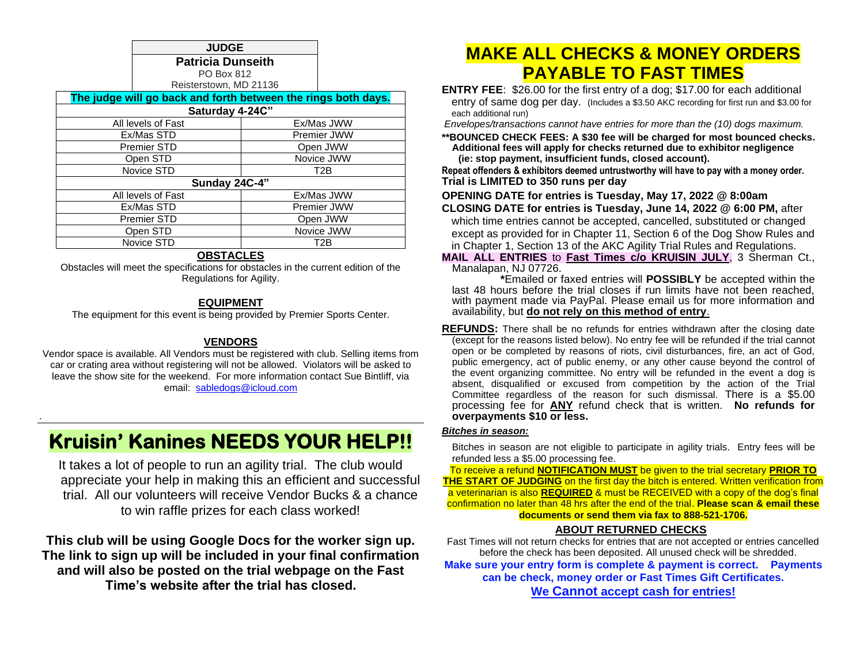**JUDGE Patricia Dunseith** PO Box 812

Reisterstown, MD 21136

| The judge will go back and forth between the rings both days. |                  |  |  |
|---------------------------------------------------------------|------------------|--|--|
| Saturday 4-24C"                                               |                  |  |  |
| All levels of Fast                                            | Ex/Mas JWW       |  |  |
| Ex/Mas STD                                                    | Premier JWW      |  |  |
| <b>Premier STD</b>                                            | Open JWW         |  |  |
| Open STD                                                      | Novice JWW       |  |  |
| Novice STD                                                    | T <sub>2</sub> B |  |  |
| Sunday 24C-4"                                                 |                  |  |  |
| All levels of Fast                                            | Ex/Mas JWW       |  |  |
| Ex/Mas STD                                                    | Premier JWW      |  |  |
| <b>Premier STD</b>                                            | Open JWW         |  |  |
| Open STD                                                      | Novice JWW       |  |  |
| Novice STD                                                    | T2B              |  |  |

#### **OBSTACLES**

Obstacles will meet the specifications for obstacles in the current edition of the Regulations for Agility.

## **EQUIPMENT**

The equipment for this event is being provided by Premier Sports Center.

### **VENDORS**

Vendor space is available. All Vendors must be registered with club. Selling items from car or crating area without registering will not be allowed. Violators will be asked to leave the show site for the weekend. For more information contact Sue Bintliff, via email: [sabledogs@icloud.com](mailto:sabledogs@icloud.com)

# **Kruisin' Kanines NEEDS YOUR HELP!!**

.

It takes a lot of people to run an agility trial. The club would appreciate your help in making this an efficient and successful trial. All our volunteers will receive Vendor Bucks & a chance to win raffle prizes for each class worked!

**This club will be using Google Docs for the worker sign up. The link to sign up will be included in your final confirmation and will also be posted on the trial webpage on the Fast Time's website after the trial has closed.**

# **MAKE ALL CHECKS & MONEY ORDERS PAYABLE TO FAST TIMES**

**ENTRY FEE**: \$26.00 for the first entry of a dog; \$17.00 for each additional entry of same dog per day. (Includes a \$3.50 AKC recording for first run and \$3.00 for each additional run)

*Envelopes/transactions cannot have entries for more than the (10) dogs maximum.*

**\*\*BOUNCED CHECK FEES: A \$30 fee will be charged for most bounced checks. Additional fees will apply for checks returned due to exhibitor negligence (ie: stop payment, insufficient funds, closed account).** 

**Repeat offenders & exhibitors deemed untrustworthy will have to pay with a money order. Trial is LIMITED to 350 runs per day**

**OPENING DATE for entries is Tuesday, May 17, 2022 @ 8:00am**

**CLOSING DATE for entries is Tuesday, June 14, 2022 @ 6:00 PM,** after which time entries cannot be accepted, cancelled, substituted or changed except as provided for in Chapter 11, Section 6 of the Dog Show Rules and in Chapter 1, Section 13 of the AKC Agility Trial Rules and Regulations.

**MAIL ALL ENTRIES** to **Fast Times c/o KRUISIN JULY**, 3 Sherman Ct., Manalapan, NJ 07726.

 **\***Emailed or faxed entries will **POSSIBLY** be accepted within the last 48 hours before the trial closes if run limits have not been reached, with payment made via PayPal. Please email us for more information and availability, but **do not rely on this method of entry**.

**REFUNDS:** There shall be no refunds for entries withdrawn after the closing date (except for the reasons listed below). No entry fee will be refunded if the trial cannot open or be completed by reasons of riots, civil disturbances, fire, an act of God, public emergency, act of public enemy, or any other cause beyond the control of the event organizing committee. No entry will be refunded in the event a dog is absent, disqualified or excused from competition by the action of the Trial Committee regardless of the reason for such dismissal. There is a \$5.00 processing fee for **ANY** refund check that is written. **No refunds for overpayments \$10 or less.**

#### *Bitches in season:*

Bitches in season are not eligible to participate in agility trials. Entry fees will be refunded less a \$5.00 processing fee.

To receive a refund **NOTIFICATION MUST** be given to the trial secretary **PRIOR TO THE START OF JUDGING** on the first day the bitch is entered. Written verification from a veterinarian is also **REQUIRED** & must be RECEIVED with a copy of the dog's final confirmation no later than 48 hrs after the end of the trial. **Please scan & email these documents or send them via fax to 888-521-1706.**

## **ABOUT RETURNED CHECKS**

Fast Times will not return checks for entries that are not accepted or entries cancelled before the check has been deposited. All unused check will be shredded. **Make sure your entry form is complete & payment is correct. Payments can be check, money order or Fast Times Gift Certificates. We Cannot accept cash for entries!**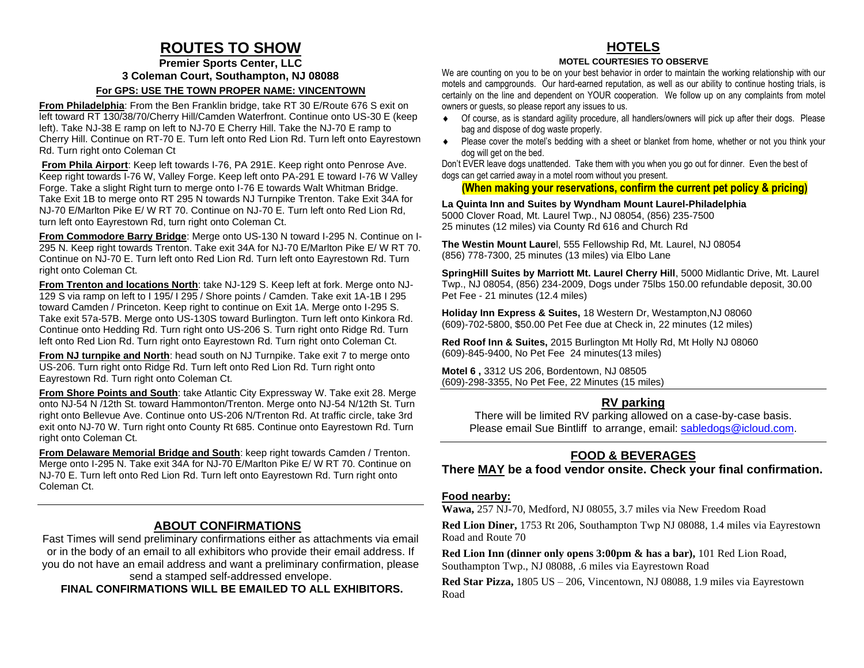# **ROUTES TO SHOW**

**Premier Sports Center, LLC 3 Coleman Court, Southampton, NJ 08088**

#### **For GPS: USE THE TOWN PROPER NAME: VINCENTOWN**

**From Philadelphia**: From the Ben Franklin bridge, take RT 30 E/Route 676 S exit on left toward RT 130/38/70/Cherry Hill/Camden Waterfront. Continue onto US-30 E (keep left). Take NJ-38 E ramp on left to NJ-70 E Cherry Hill. Take the NJ-70 E ramp to Cherry Hill. Continue on RT-70 E. Turn left onto Red Lion Rd. Turn left onto Eayrestown Rd. Turn right onto Coleman Ct

**From Phila Airport**: Keep left towards I-76, PA 291E. Keep right onto Penrose Ave. Keep right towards I-76 W, Valley Forge. Keep left onto PA-291 E toward I-76 W Valley Forge. Take a slight Right turn to merge onto I-76 E towards Walt Whitman Bridge. Take Exit 1B to merge onto RT 295 N towards NJ Turnpike Trenton. Take Exit 34A for NJ-70 E/Marlton Pike E/ W RT 70. Continue on NJ-70 E. Turn left onto Red Lion Rd, turn left onto Eayrestown Rd, turn right onto Coleman Ct.

**From Commodore Barry Bridge**: Merge onto US-130 N toward I-295 N. Continue on I-295 N. Keep right towards Trenton. Take exit 34A for NJ-70 E/Marlton Pike E/ W RT 70. Continue on NJ-70 E. Turn left onto Red Lion Rd. Turn left onto Eayrestown Rd. Turn right onto Coleman Ct.

**From Trenton and locations North**: take NJ-129 S. Keep left at fork. Merge onto NJ-129 S via ramp on left to I 195/ I 295 / Shore points / Camden. Take exit 1A-1B I 295 toward Camden / Princeton. Keep right to continue on Exit 1A. Merge onto I-295 S. Take exit 57a-57B. Merge onto US-130S toward Burlington. Turn left onto Kinkora Rd. Continue onto Hedding Rd. Turn right onto US-206 S. Turn right onto Ridge Rd. Turn left onto Red Lion Rd. Turn right onto Eayrestown Rd. Turn right onto Coleman Ct.

**From NJ turnpike and North:** head south on NJ Turnpike. Take exit 7 to merge onto US-206. Turn right onto Ridge Rd. Turn left onto Red Lion Rd. Turn right onto Eayrestown Rd. Turn right onto Coleman Ct.

**From Shore Points and South:** take Atlantic City Expressway W. Take exit 28. Merge onto NJ-54 N /12th St. toward Hammonton/Trenton. Merge onto NJ-54 N/12th St. Turn right onto Bellevue Ave. Continue onto US-206 N/Trenton Rd. At traffic circle, take 3rd exit onto NJ-70 W. Turn right onto County Rt 685. Continue onto Eayrestown Rd. Turn right onto Coleman Ct.

**From Delaware Memorial Bridge and South**: keep right towards Camden / Trenton. Merge onto I-295 N. Take exit 34A for NJ-70 E/Marlton Pike E/ W RT 70. Continue on NJ-70 E. Turn left onto Red Lion Rd. Turn left onto Eayrestown Rd. Turn right onto Coleman Ct.

## **ABOUT CONFIRMATIONS**

Fast Times will send preliminary confirmations either as attachments via email or in the body of an email to all exhibitors who provide their email address. If you do not have an email address and want a preliminary confirmation, please send a stamped self-addressed envelope.

**FINAL CONFIRMATIONS WILL BE EMAILED TO ALL EXHIBITORS.**

## **HOTELS**

#### **MOTEL COURTESIES TO OBSERVE**

We are counting on you to be on your best behavior in order to maintain the working relationship with our motels and campgrounds. Our hard-earned reputation, as well as our ability to continue hosting trials, is certainly on the line and dependent on YOUR cooperation. We follow up on any complaints from motel owners or guests, so please report any issues to us.

- Of course, as is standard agility procedure, all handlers/owners will pick up after their dogs. Please bag and dispose of dog waste properly.
- Please cover the motel's bedding with a sheet or blanket from home, whether or not you think your dog will get on the bed.

Don't EVER leave dogs unattended. Take them with you when you go out for dinner. Even the best of dogs can get carried away in a motel room without you present.

### **(When making your reservations, confirm the current pet policy & pricing)**

**La Quinta Inn and Suites by Wyndham Mount Laurel-Philadelphia** 5000 Clover Road, Mt. Laurel Twp., NJ 08054, (856) 235-7500 25 minutes (12 miles) via County Rd 616 and Church Rd

**The Westin Mount Laure**l, 555 Fellowship Rd, Mt. Laurel, NJ 08054 (856) 778-7300, 25 minutes (13 miles) via Elbo Lane

**SpringHill Suites by Marriott Mt. Laurel Cherry Hill**, 5000 Midlantic Drive, Mt. Laurel Twp., NJ 08054, (856) 234-2009, Dogs under 75lbs 150.00 refundable deposit, 30.00 Pet Fee - 21 minutes (12.4 miles)

**Holiday Inn Express & Suites,** 18 Western Dr, Westampton,NJ 08060 (609)-702-5800, \$50.00 Pet Fee due at Check in, 22 minutes (12 miles)

**Red Roof Inn & Suites,** 2015 Burlington Mt Holly Rd, Mt Holly NJ 08060 (609)-845-9400, No Pet Fee 24 minutes(13 miles)

**Motel 6 ,** 3312 US 206, Bordentown, NJ 08505 (609)-298-3355, No Pet Fee, 22 Minutes (15 miles)

## **RV parking**

There will be limited RV parking allowed on a case-by-case basis. Please email Sue Bintliff to arrange, email: [sabledogs@icloud.com.](mailto:sabledogs@icloud.com)

## **FOOD & BEVERAGES**

**There MAY be a food vendor onsite. Check your final confirmation.** 

### **Food nearby:**

**Wawa,** 257 NJ-70, Medford, NJ 08055, 3.7 miles via New Freedom Road

**Red Lion Diner,** 1753 Rt 206, Southampton Twp NJ 08088, 1.4 miles via Eayrestown Road and Route 70

**Red Lion Inn (dinner only opens 3:00pm & has a bar),** 101 Red Lion Road, Southampton Twp., NJ 08088, .6 miles via Eayrestown Road

**Red Star Pizza,** 1805 US – 206, Vincentown, NJ 08088, 1.9 miles via Eayrestown Road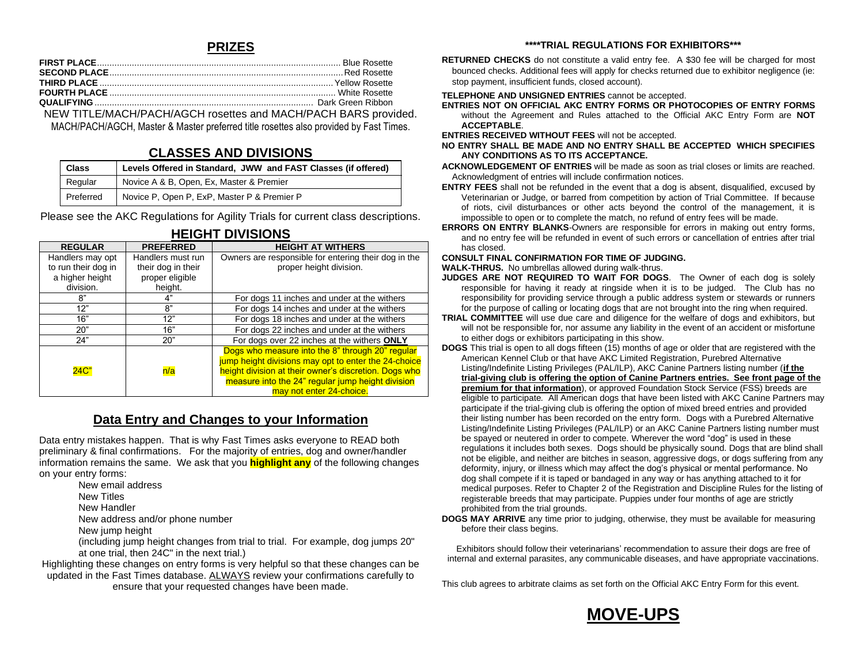## **PRIZES**

NEW TITLE/MACH/PACH/AGCH rosettes and MACH/PACH BARS provided. MACH/PACH/AGCH, Master & Master preferred title rosettes also provided by Fast Times.

## **CLASSES AND DIVISIONS**

| <b>Class</b> | Levels Offered in Standard, JWW and FAST Classes (if offered)<br>Novice A & B, Open, Ex, Master & Premier<br>Novice P, Open P, ExP, Master P & Premier P |  |
|--------------|----------------------------------------------------------------------------------------------------------------------------------------------------------|--|
| Regular      |                                                                                                                                                          |  |
| Preferred    |                                                                                                                                                          |  |

Please see the AKC Regulations for Agility Trials for current class descriptions.

| .                   |                    |                                                       |
|---------------------|--------------------|-------------------------------------------------------|
| <b>REGULAR</b>      | <b>PREFERRED</b>   | <b>HEIGHT AT WITHERS</b>                              |
| Handlers may opt    | Handlers must run  | Owners are responsible for entering their dog in the  |
| to run their dog in | their dog in their | proper height division.                               |
| a higher height     | proper eligible    |                                                       |
| division.           | height.            |                                                       |
| 8"                  | 4"                 | For dogs 11 inches and under at the withers           |
| 12"                 | 8"                 | For dogs 14 inches and under at the withers           |
| 16"                 | 12"                | For dogs 18 inches and under at the withers           |
| 20"                 | 16"                | For dogs 22 inches and under at the withers           |
| 24"                 | 20"                | For dogs over 22 inches at the withers ONLY           |
|                     |                    | Dogs who measure into the 8" through 20" regular      |
|                     |                    | jump height divisions may opt to enter the 24-choice  |
| 24C                 | n/a                | height division at their owner's discretion. Dogs who |
|                     |                    | measure into the 24" regular jump height division     |
|                     |                    | may not enter 24-choice.                              |

## **HEIGHT DIVISIONS**

## **Data Entry and Changes to your Information**

Data entry mistakes happen. That is why Fast Times asks everyone to READ both preliminary & final confirmations. For the majority of entries, dog and owner/handler information remains the same. We ask that you **highlight any** of the following changes on your entry forms:

- New email address
- New Titles
- New Handler

New address and/or phone number

New jump height

(including jump height changes from trial to trial. For example, dog jumps 20" at one trial, then 24C" in the next trial.)

Highlighting these changes on entry forms is very helpful so that these changes can be updated in the Fast Times database. ALWAYS review your confirmations carefully to ensure that your requested changes have been made.

#### **\*\*\*\*TRIAL REGULATIONS FOR EXHIBITORS\*\*\***

**RETURNED CHECKS** do not constitute a valid entry fee. A \$30 fee will be charged for most bounced checks. Additional fees will apply for checks returned due to exhibitor negligence (ie: stop payment, insufficient funds, closed account).

#### **TELEPHONE AND UNSIGNED ENTRIES** cannot be accepted.

**ENTRIES NOT ON OFFICIAL AKC ENTRY FORMS OR PHOTOCOPIES OF ENTRY FORMS** without the Agreement and Rules attached to the Official AKC Entry Form are **NOT ACCEPTABLE**.

**ENTRIES RECEIVED WITHOUT FEES** will not be accepted.

- **NO ENTRY SHALL BE MADE AND NO ENTRY SHALL BE ACCEPTED WHICH SPECIFIES ANY CONDITIONS AS TO ITS ACCEPTANCE.**
- **ACKNOWLEDGEMENT OF ENTRIES** will be made as soon as trial closes or limits are reached. Acknowledgment of entries will include confirmation notices.
- **ENTRY FEES** shall not be refunded in the event that a dog is absent, disqualified, excused by Veterinarian or Judge, or barred from competition by action of Trial Committee. If because of riots, civil disturbances or other acts beyond the control of the management, it is impossible to open or to complete the match, no refund of entry fees will be made.
- **ERRORS ON ENTRY BLANKS**-Owners are responsible for errors in making out entry forms, and no entry fee will be refunded in event of such errors or cancellation of entries after trial has closed.

#### **CONSULT FINAL CONFIRMATION FOR TIME OF JUDGING.**

**WALK-THRUS.** No umbrellas allowed during walk-thrus.

- **JUDGES ARE NOT REQUIRED TO WAIT FOR DOGS**. The Owner of each dog is solely responsible for having it ready at ringside when it is to be judged. The Club has no responsibility for providing service through a public address system or stewards or runners for the purpose of calling or locating dogs that are not brought into the ring when required.
- **TRIAL COMMITTEE** will use due care and diligence for the welfare of dogs and exhibitors, but will not be responsible for, nor assume any liability in the event of an accident or misfortune to either dogs or exhibitors participating in this show.
- **DOGS** This trial is open to all dogs fifteen (15) months of age or older that are registered with the American Kennel Club or that have AKC Limited Registration, Purebred Alternative Listing/Indefinite Listing Privileges (PAL/ILP), AKC Canine Partners listing number (**if the trial-giving club is offering the option of Canine Partners entries. See front page of the premium for that information**), or approved Foundation Stock Service (FSS) breeds are eligible to participate*.* All American dogs that have been listed with AKC Canine Partners may participate if the trial-giving club is offering the option of mixed breed entries and provided their listing number has been recorded on the entry form. Dogs with a Purebred Alternative Listing/Indefinite Listing Privileges (PAL/ILP) or an AKC Canine Partners listing number must be spayed or neutered in order to compete. Wherever the word "dog" is used in these regulations it includes both sexes. Dogs should be physically sound. Dogs that are blind shall not be eligible, and neither are bitches in season, aggressive dogs, or dogs suffering from any deformity, injury, or illness which may affect the dog's physical or mental performance. No dog shall compete if it is taped or bandaged in any way or has anything attached to it for medical purposes. Refer to Chapter 2 of the Registration and Discipline Rules for the listing of registerable breeds that may participate. Puppies under four months of age are strictly prohibited from the trial grounds.
- **DOGS MAY ARRIVE** any time prior to judging, otherwise, they must be available for measuring before their class begins.

Exhibitors should follow their veterinarians' recommendation to assure their dogs are free of internal and external parasites, any communicable diseases, and have appropriate vaccinations.

This club agrees to arbitrate claims as set forth on the Official AKC Entry Form for this event.

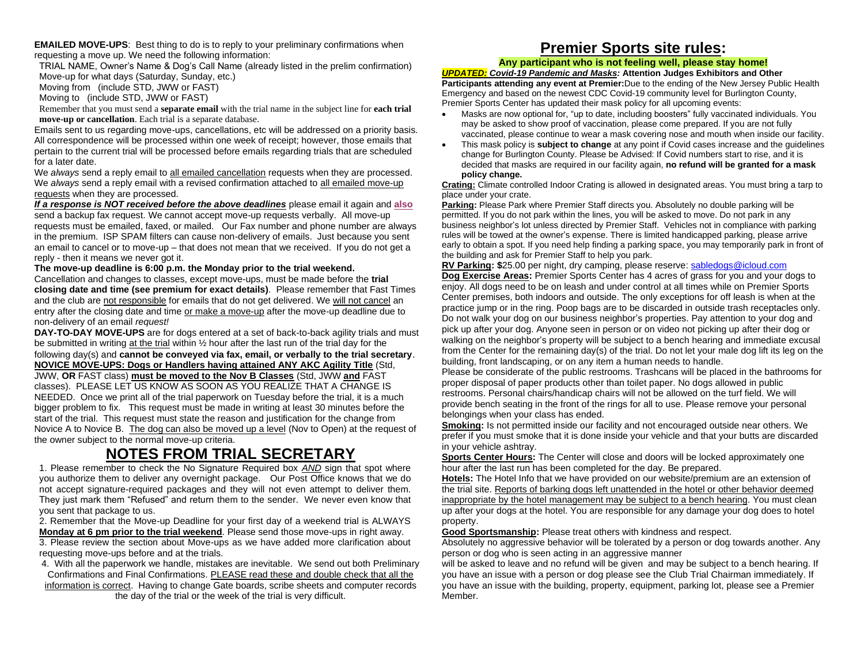**EMAILED MOVE-UPS:** Best thing to do is to reply to your preliminary confirmations when requesting a move up. We need the following information:

TRIAL NAME, Owner's Name & Dog's Call Name (already listed in the prelim confirmation) Move-up for what days (Saturday, Sunday, etc.)

Moving from (include STD, JWW or FAST)

Moving to (include STD, JWW or FAST)

Remember that you must send a **separate email** with the trial name in the subject line for **each trial move-up or cancellation**. Each trial is a separate database.

Emails sent to us regarding move-ups, cancellations, etc will be addressed on a priority basis. All correspondence will be processed within one week of receipt; however, those emails that pertain to the current trial will be processed before emails regarding trials that are scheduled for a later date.

We *always* send a reply email to all emailed cancellation requests when they are processed. We *always* send a reply email with a revised confirmation attached to all emailed move-up requests when they are processed.

*If a response is NOT received before the above deadlines* please email it again and **also** send a backup fax request. We cannot accept move-up requests verbally. All move-up requests must be emailed, faxed, or mailed. Our Fax number and phone number are always in the premium. ISP SPAM filters can cause non-delivery of emails. Just because you sent an email to cancel or to move-up – that does not mean that we received. If you do not get a reply - then it means we never got it.

**The move-up deadline is 6:00 p.m. the Monday prior to the trial weekend.**

Cancellation and changes to classes, except move-ups, must be made before the **trial closing date and time (see premium for exact details)**. Please remember that Fast Times and the club are not responsible for emails that do not get delivered. We will not cancel an entry after the closing date and time or make a move-up after the move-up deadline due to non-delivery of an email *request!*

**DAY-TO-DAY MOVE-UPS** are for dogs entered at a set of back-to-back agility trials and must be submitted in writing at the trial within ½ hour after the last run of the trial day for the following day(s) and **cannot be conveyed via fax, email, or verbally to the trial secretary**. **NOVICE MOVE-UPS: Dogs or Handlers having attained ANY AKC Agility Title** (Std,

JWW, **OR** FAST class) **must be moved to the Nov B Classes** (Std, JWW **and** FAST classes). PLEASE LET US KNOW AS SOON AS YOU REALIZE THAT A CHANGE IS NEEDED. Once we print all of the trial paperwork on Tuesday before the trial, it is a much bigger problem to fix. This request must be made in writing at least 30 minutes before the start of the trial. This request must state the reason and justification for the change from Novice A to Novice B. The dog can also be moved up a level (Nov to Open) at the request of the owner subject to the normal move-up criteria.

# **NOTES FROM TRIAL SECRETARY**

1. Please remember to check the No Signature Required box *AND* sign that spot where you authorize them to deliver any overnight package. Our Post Office knows that we do not accept signature-required packages and they will not even attempt to deliver them. They just mark them "Refused" and return them to the sender. We never even know that you sent that package to us.

2. Remember that the Move-up Deadline for your first day of a weekend trial is ALWAYS **Monday at 6 pm prior to the trial weekend**. Please send those move-ups in right away.

3. Please review the section about Move-ups as we have added more clarification about requesting move-ups before and at the trials.

4. With all the paperwork we handle, mistakes are inevitable. We send out both Preliminary Confirmations and Final Confirmations. PLEASE read these and double check that all the

information is correct. Having to change Gate boards, scribe sheets and computer records the day of the trial or the week of the trial is very difficult.

## **Premier Sports site rules:**

#### **Any participant who is not feeling well, please stay home!**

*UPDATED: Covid-19 Pandemic and Masks:* **Attention Judges Exhibitors and Other Participants attending any event at Premier:**Due to the ending of the New Jersey Public Health Emergency and based on the newest CDC Covid-19 community level for Burlington County, Premier Sports Center has updated their mask policy for all upcoming events:

- Masks are now optional for, "up to date, including boosters" fully vaccinated individuals. You may be asked to show proof of vaccination, please come prepared. If you are not fully vaccinated, please continue to wear a mask covering nose and mouth when inside our facility.
- This mask policy is **subject to change** at any point if Covid cases increase and the guidelines change for Burlington County. Please be Advised: If Covid numbers start to rise, and it is decided that masks are required in our facility again, **no refund will be granted for a mask policy change.**

**Crating:** Climate controlled Indoor Crating is allowed in designated areas. You must bring a tarp to place under your crate.

**Parking:** Please Park where Premier Staff directs you. Absolutely no double parking will be permitted. If you do not park within the lines, you will be asked to move. Do not park in any business neighbor's lot unless directed by Premier Staff. Vehicles not in compliance with parking rules will be towed at the owner 's expense. There is limited handicapped parking, please arrive early to obtain a spot. If you need help finding a parking space, you may temporarily park in front of the building and ask for Premier Staff to help you park.

**RV Parking: \$**25.00 per night, dry camping, please reserve: [sabledogs@icloud.com](mailto:sabledogs@icloud.com) **Dog Exercise Areas:** Premier Sports Center has 4 acres of grass for you and your dogs to enjoy. All dogs need to be on leash and under control at all times while on Premier Sports Center premises, both indoors and outside. The only exceptions for off leash is when at the practice jump or in the ring. Poop bags are to be discarded in outside trash receptacles only. Do not walk your dog on our business neighbor's properties. Pay attention to your dog and pick up after your dog. Anyone seen in person or on video not picking up after their dog or walking on the neighbor's property will be subject to a bench hearing and immediate excusal from the Center for the remaining day(s) of the trial. Do not let your male dog lift its leg on the building, front landscaping, or on any item a human needs to handle.

Please be considerate of the public restrooms. Trashcans will be placed in the bathrooms for proper disposal of paper products other than toilet paper. No dogs allowed in public restrooms. Personal chairs/handicap chairs will not be allowed on the turf field. We will provide bench seating in the front of the rings for all to use. Please remove your personal belongings when your class has ended.

**Smoking:** Is not permitted inside our facility and not encouraged outside near others. We prefer if you must smoke that it is done inside your vehicle and that your butts are discarded in your vehicle ashtray.

**Sports Center Hours:** The Center will close and doors will be locked approximately one hour after the last run has been completed for the day. Be prepared.

**Hotels:** The Hotel Info that we have provided on our website/premium are an extension of the trial site. Reports of barking dogs left unattended in the hotel or other behavior deemed inappropriate by the hotel management may be subject to a bench hearing. You must clean up after your dogs at the hotel. You are responsible for any damage your dog does to hotel property.

**Good Sportsmanship:** Please treat others with kindness and respect.

Absolutely no aggressive behavior will be tolerated by a person or dog towards another. Any person or dog who is seen acting in an aggressive manner

will be asked to leave and no refund will be given and may be subject to a bench hearing. If you have an issue with a person or dog please see the Club Trial Chairman immediately. If you have an issue with the building, property, equipment, parking lot, please see a Premier Member.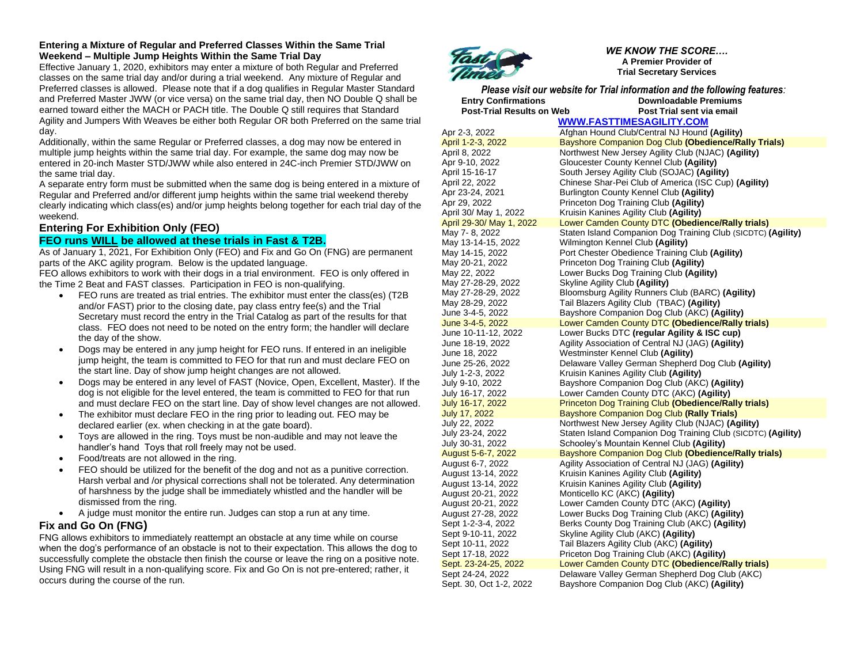#### **Entering a Mixture of Regular and Preferred Classes Within the Same Trial Weekend – Multiple Jump Heights Within the Same Trial Day**

Effective January 1, 2020, exhibitors may enter a mixture of both Regular and Preferred classes on the same trial day and/or during a trial weekend. Any mixture of Regular and Preferred classes is allowed. Please note that if a dog qualifies in Regular Master Standard and Preferred Master JWW (or vice versa) on the same trial day, then NO Double Q shall be earned toward either the MACH or PACH title. The Double Q still requires that Standard Agility and Jumpers With Weaves be either both Regular OR both Preferred on the same trial day.

Additionally, within the same Regular or Preferred classes, a dog may now be entered in multiple jump heights within the same trial day. For example, the same dog may now be entered in 20-inch Master STD/JWW while also entered in 24C-inch Premier STD/JWW on the same trial day.

A separate entry form must be submitted when the same dog is being entered in a mixture of Regular and Preferred and/or different jump heights within the same trial weekend thereby clearly indicating which class(es) and/or jump heights belong together for each trial day of the weekend.

## **Entering For Exhibition Only (FEO)**

### **FEO runs WILL be allowed at these trials in Fast & T2B.**

As of January 1, 2021, For Exhibition Only (FEO) and Fix and Go On (FNG) are permanent parts of the AKC agility program. Below is the updated language.

FEO allows exhibitors to work with their dogs in a trial environment. FEO is only offered in the Time 2 Beat and FAST classes. Participation in FEO is non-qualifying.

- FEO runs are treated as trial entries. The exhibitor must enter the class(es) (T2B and/or FAST) prior to the closing date, pay class entry fee(s) and the Trial Secretary must record the entry in the Trial Catalog as part of the results for that class. FEO does not need to be noted on the entry form; the handler will declare the day of the show.
- Dogs may be entered in any jump height for FEO runs. If entered in an ineligible jump height, the team is committed to FEO for that run and must declare FEO on the start line. Day of show jump height changes are not allowed.
- Dogs may be entered in any level of FAST (Novice, Open, Excellent, Master). If the dog is not eligible for the level entered, the team is committed to FEO for that run and must declare FEO on the start line. Day of show level changes are not allowed.
- The exhibitor must declare FEO in the ring prior to leading out. FEO may be declared earlier (ex. when checking in at the gate board).
- Toys are allowed in the ring. Toys must be non-audible and may not leave the handler's hand Toys that roll freely may not be used.
- Food/treats are not allowed in the ring.
- FEO should be utilized for the benefit of the dog and not as a punitive correction. Harsh verbal and /or physical corrections shall not be tolerated. Any determination of harshness by the judge shall be immediately whistled and the handler will be dismissed from the ring.
- A judge must monitor the entire run. Judges can stop a run at any time.

## **Fix and Go On (FNG)**

FNG allows exhibitors to immediately reattempt an obstacle at any time while on course when the dog's performance of an obstacle is not to their expectation. This allows the dog to successfully complete the obstacle then finish the course or leave the ring on a positive note. Using FNG will result in a non-qualifying score. Fix and Go On is not pre-entered; rather, it occurs during the course of the run.



*WE KNOW THE SCORE….* **A Premier Provider of Trial Secretary Services**

*Please visit our website for Trial information and the following features:* **Entry Confirmations Downloadable Premiums Post-Trial Results on Web Post Trial sent via email** 

**[WWW.FASTTIMESAGILITY.COM](http://www.fasttimesagility.com/)**

Apr 2-3, 2022 Afghan Hound Club/Central NJ Hound **(Agility)** April 1-2-3, 2022 Bayshore Companion Dog Club **(Obedience/Rally Trials)** April 8, 2022 Northwest New Jersey Agility Club (NJAC) **(Agility)** Apr 9-10, 2022 Gloucester County Kennel Club **(Agility)** April 15-16-17 South Jersey Agility Club (SOJAC) **(Agility)**  April 22, 2022 Chinese Shar-Pei Club of America (ISC Cup) **(Agility)** Apr 23-24, 2021 Burlington County Kennel Club **(Agility)** Apr 29, 2022 Princeton Dog Training Club **(Agility)** April 30/ May 1, 2022 Kruisin Kanines Agility Club **(Agility)** April 29-30/ May 1, 2022 Lower Camden County DTC **(Obedience/Rally trials)** May 7- 8, 2022 Staten Island Companion Dog Training Club (SICDTC) **(Agility)** May 13-14-15, 2022 Wilmington Kennel Club **(Agility)** May 14-15, 2022 Port Chester Obedience Training Club **(Agility)** May 20-21, 2022 Princeton Dog Training Club **(Agility)** May 22, 2022 Lower Bucks Dog Training Club **(Agility)** May 27-28-29, 2022 Skyline Agility Club **(Agility)** May 27-28-29, 2022 Bloomsburg Agility Runners Club (BARC) **(Agility)** May 28-29, 2022 Tail Blazers Agility Club (TBAC) **(Agility)** June 3-4-5, 2022 Bayshore Companion Dog Club (AKC) **(Agility)** June 3-4-5, 2022 Lower Camden County DTC **(Obedience/Rally trials)** June 10-11-12, 2022 Lower Bucks DTC **(regular Agility & ISC cup)** June 18-19, 2022 Agility Association of Central NJ (JAG) **(Agility)** June 18, 2022 Westminster Kennel Club **(Agility)** June 25-26, 2022 Delaware Valley German Shepherd Dog Club **(Agility)** July 1-2-3, 2022 Kruisin Kanines Agility Club **(Agility)** Bayshore Companion Dog Club (AKC) (Agility) July 16-17, 2022 Lower Camden County DTC (AKC) **(Agility)** July 16-17, 2022 Princeton Dog Training Club **(Obedience/Rally trials) July 17, 2022 Bayshore Companion Dog Club (Rally Trials)**<br>July 22, 2022 **Bayshore Companion Dog Club** (NJAC) (Ac **Northwest New Jersey Agility Club (NJAC) (Agility)** July 23-24, 2022 Staten Island Companion Dog Training Club (SICDTC) **(Agility)** July 30-31, 2022 Schooley's Mountain Kennel Club **(Agility)** August 5-6-7, 2022 Bayshore Companion Dog Club **(Obedience/Rally trials)** August 6-7, 2022 Agility Association of Central NJ (JAG) **(Agility)** August 13-14, 2022 Kruisin Kanines Agility Club **(Agility)** August 13-14, 2022 Kruisin Kanines Agility Club **(Agility)** August 20-21, 2022 Monticello KC (AKC) **(Agility)** August 20-21, 2022 Lower Camden County DTC (AKC) **(Agility)** August 27-28, 2022 Lower Bucks Dog Training Club (AKC) **(Agility)** Sept 1-2-3-4, 2022 Berks County Dog Training Club (AKC) **(Agility)** Sept 9-10-11, 2022 Skyline Agility Club (AKC) **(Agility)** Sept 10-11, 2022 Tail Blazers Agility Club (AKC) **(Agility)** Sept 17-18, 2022 Priceton Dog Training Club (AKC) **(Agility)** Sept. 23-24-25, 2022 Lower Camden County DTC **(Obedience/Rally trials)** Sept 24-24, 2022 Delaware Valley German Shepherd Dog Club (AKC) Sept. 30, Oct 1-2, 2022 Bayshore Companion Dog Club (AKC) **(Agility)**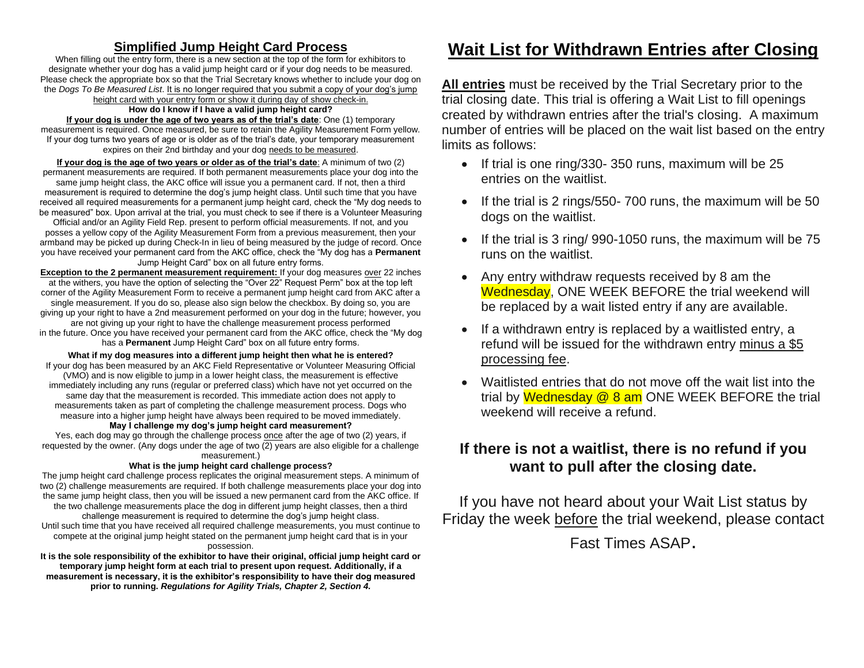## **Simplified Jump Height Card Process**

When filling out the entry form, there is a new section at the top of the form for exhibitors to designate whether your dog has a valid jump height card or if your dog needs to be measured. Please check the appropriate box so that the Trial Secretary knows whether to include your dog on the *Dogs To Be Measured List*. It is no longer required that you submit a copy of your dog's jump height card with your entry form or show it during day of show check-in.

#### **How do I know if I have a valid jump height card?**

**If your dog is under the age of two years as of the trial's date**: One (1) temporary measurement is required. Once measured, be sure to retain the Agility Measurement Form yellow. If your dog turns two years of age or is older as of the trial's date, your temporary measurement expires on their 2nd birthday and your dog needs to be measured.

**If your dog is the age of two years or older as of the trial's date**: A minimum of two (2) permanent measurements are required. If both permanent measurements place your dog into the same jump height class, the AKC office will issue you a permanent card. If not, then a third measurement is required to determine the dog's jump height class. Until such time that you have received all required measurements for a permanent jump height card, check the "My dog needs to be measured" box. Upon arrival at the trial, you must check to see if there is a Volunteer Measuring

Official and/or an Agility Field Rep. present to perform official measurements. If not, and you posses a yellow copy of the Agility Measurement Form from a previous measurement, then your armband may be picked up during Check-In in lieu of being measured by the judge of record. Once you have received your permanent card from the AKC office, check the "My dog has a **Permanent** Jump Height Card" box on all future entry forms.

**Exception to the 2 permanent measurement requirement:** If your dog measures over 22 inches at the withers, you have the option of selecting the "Over 22" Request Perm" box at the top left corner of the Agility Measurement Form to receive a permanent jump height card from AKC after a single measurement. If you do so, please also sign below the checkbox. By doing so, you are giving up your right to have a 2nd measurement performed on your dog in the future; however, you are not giving up your right to have the challenge measurement process performed in the future. Once you have received your permanent card from the AKC office, check the "My dog has a **Permanent** Jump Height Card" box on all future entry forms.

**What if my dog measures into a different jump height then what he is entered?** If your dog has been measured by an AKC Field Representative or Volunteer Measuring Official (VMO) and is now eligible to jump in a lower height class, the measurement is effective immediately including any runs (regular or preferred class) which have not yet occurred on the same day that the measurement is recorded. This immediate action does not apply to measurements taken as part of completing the challenge measurement process. Dogs who measure into a higher jump height have always been required to be moved immediately. **May I challenge my dog's jump height card measurement?**

Yes, each dog may go through the challenge process once after the age of two (2) years, if requested by the owner. (Any dogs under the age of two (2) years are also eligible for a challenge measurement.)

#### **What is the jump height card challenge process?**

The jump height card challenge process replicates the original measurement steps. A minimum of two (2) challenge measurements are required. If both challenge measurements place your dog into the same jump height class, then you will be issued a new permanent card from the AKC office. If the two challenge measurements place the dog in different jump height classes, then a third challenge measurement is required to determine the dog's jump height class. Until such time that you have received all required challenge measurements, you must continue to compete at the original jump height stated on the permanent jump height card that is in your possession.

**It is the sole responsibility of the exhibitor to have their original, official jump height card or temporary jump height form at each trial to present upon request. Additionally, if a measurement is necessary, it is the exhibitor's responsibility to have their dog measured prior to running.** *Regulations for Agility Trials, Chapter 2, Section 4.*

# **Wait List for Withdrawn Entries after Closing**

**All entries** must be received by the Trial Secretary prior to the trial closing date. This trial is offering a Wait List to fill openings created by withdrawn entries after the trial's closing. A maximum number of entries will be placed on the wait list based on the entry limits as follows:

- If trial is one ring/330- 350 runs, maximum will be 25 entries on the waitlist.
- If the trial is 2 rings/550-700 runs, the maximum will be 50 dogs on the waitlist.
- If the trial is 3 ring/ 990-1050 runs, the maximum will be 75 runs on the waitlist.
- Any entry withdraw requests received by 8 am the Wednesday, ONE WEEK BEFORE the trial weekend will be replaced by a wait listed entry if any are available.
- If a withdrawn entry is replaced by a waitlisted entry, a refund will be issued for the withdrawn entry minus a \$5 processing fee.
- Waitlisted entries that do not move off the wait list into the trial by Wednesday  $@$  8 am ONE WEEK BEFORE the trial weekend will receive a refund.

## **If there is not a waitlist, there is no refund if you want to pull after the closing date.**

If you have not heard about your Wait List status by Friday the week before the trial weekend, please contact

Fast Times ASAP.